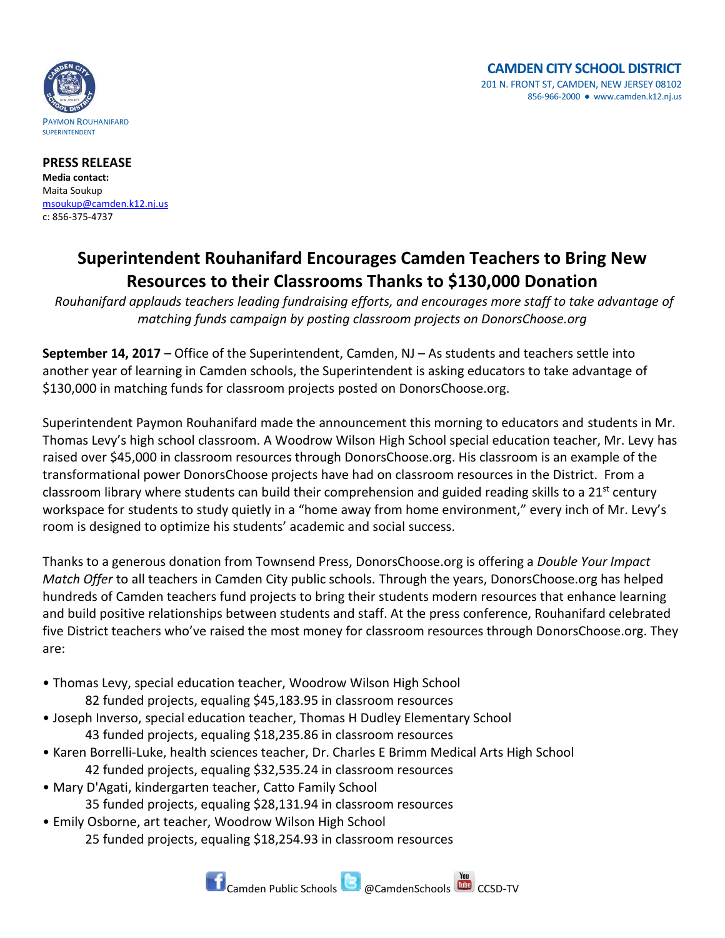

**PRESS RELEASE Media contact:** Maita Soukup [msoukup@camden.k12.nj.us](mailto:msoukup@camden.k12.nj.us) c: 856-375-4737

## **Superintendent Rouhanifard Encourages Camden Teachers to Bring New Resources to their Classrooms Thanks to \$130,000 Donation**

*Rouhanifard applauds teachers leading fundraising efforts, and encourages more staff to take advantage of matching funds campaign by posting classroom projects on DonorsChoose.org* 

**September 14, 2017** – Office of the Superintendent, Camden, NJ – As students and teachers settle into another year of learning in Camden schools, the Superintendent is asking educators to take advantage of \$130,000 in matching funds for classroom projects posted on DonorsChoose.org.

Superintendent Paymon Rouhanifard made the announcement this morning to educators and students in Mr. Thomas Levy's high school classroom. A Woodrow Wilson High School special education teacher, Mr. Levy has raised over \$45,000 in classroom resources through DonorsChoose.org. His classroom is an example of the transformational power DonorsChoose projects have had on classroom resources in the District. From a classroom library where students can build their comprehension and guided reading skills to a 21<sup>st</sup> century workspace for students to study quietly in a "home away from home environment," every inch of Mr. Levy's room is designed to optimize his students' academic and social success.

Thanks to a generous donation from Townsend Press, DonorsChoose.org is offering a *Double Your Impact Match Offer* to all teachers in Camden City public schools. Through the years, DonorsChoose.org has helped hundreds of Camden teachers fund projects to bring their students modern resources that enhance learning and build positive relationships between students and staff. At the press conference, Rouhanifard celebrated five District teachers who've raised the most money for classroom resources through DonorsChoose.org. They are:

- Thomas Levy, special education teacher, Woodrow Wilson High School 82 funded projects, equaling \$45,183.95 in classroom resources
- Joseph Inverso, special education teacher, Thomas H Dudley Elementary School 43 funded projects, equaling \$18,235.86 in classroom resources
- Karen Borrelli-Luke, health sciences teacher, Dr. Charles E Brimm Medical Arts High School 42 funded projects, equaling \$32,535.24 in classroom resources
- Mary D'Agati, kindergarten teacher, Catto Family School 35 funded projects, equaling \$28,131.94 in classroom resources
- Emily Osborne, art teacher, Woodrow Wilson High School 25 funded projects, equaling \$18,254.93 in classroom resources